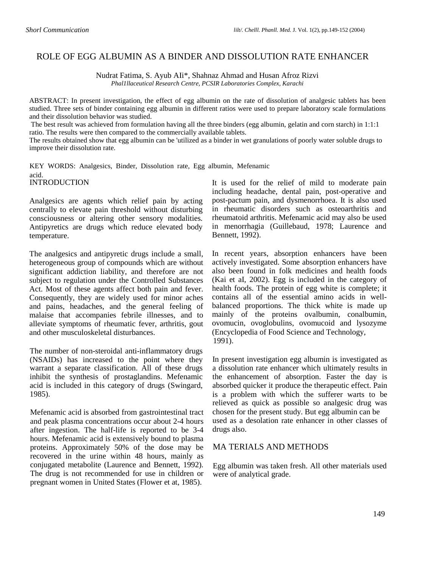## ROLE OF EGG ALBUMIN AS A BINDER AND DISSOLUTION RATE ENHANCER

Nudrat Fatima, S. Ayub AIi\*, Shahnaz Ahmad and Husan Afroz Rizvi *Phal1llaceutical Research Centre, PCSIR Laboratories Complex, Karachi* 

ABSTRACT: In present investigation, the effect of egg albumin on the rate of dissolution of analgesic tablets has been studied. Three sets of binder containing egg albumin in different ratios were used to prepare laboratory scale formulations and their dissolution behavior was studied.

The best result was achieved from formulation having all the three binders (egg albumin, gelatin and corn starch) in 1:1:1 ratio. The results were then compared to the commercially available tablets.

The results obtained show that egg albumin can be 'utilized as a binder in wet granulations of poorly water soluble drugs to improve their dissolution rate.

**INTRODUCTION** KEY WORDS: Analgesics, Binder, Dissolution rate, Egg albumin, Mefenamic acid.

Analgesics are agents which relief pain by acting centrally to elevate pain threshold without disturbing consciousness or altering other sensory modalities. Antipyretics are drugs which reduce elevated body temperature.

The analgesics and antipyretic drugs include a small, heterogeneous group of compounds which are without significant addiction liability, and therefore are not subject to regulation under the Controlled Substances Act. Most of these agents affect both pain and fever. Consequently, they are widely used for minor aches and pains, headaches, and the general feeling of malaise that accompanies febrile illnesses, and to alleviate symptoms of rheumatic fever, arthritis, gout and other musculoskeletal disturbances.

The number of non-steroidal anti-inflammatory drugs (NSAIDs) has increased to the point where they warrant a separate classification. All of these drugs inhibit the synthesis of prostaglandins. Mefenamic acid is included in this category of drugs (Swingard, 1985).

Mefenamic acid is absorbed from gastrointestinal tract and peak plasma concentrations occur about 2-4 hours after ingestion. The half-life is reported to be 3-4 hours. Mefenamic acid is extensively bound to plasma proteins. Approximately 50% of the dose may be recovered in the urine within 48 hours, mainly as conjugated metabolite (Laurence and Bennett, 1992). The drug is not recommended for use in children or pregnant women in United States (Flower et at, 1985).

It is used for the relief of mild to moderate pain including headache, dental pain, post-operative and post-pactum pain, and dysmenorrhoea. It is also used in rheumatic disorders such as osteoarthritis and rheumatoid arthritis. Mefenamic acid may also be used in menorrhagia (Guillebaud, 1978; Laurence and Bennett, 1992).

In recent years, absorption enhancers have been actively investigated. Some absorption enhancers have also been found in folk medicines and health foods (Kai et aI, 2002). Egg is included in the category of health foods. The protein of egg white is complete; it contains all of the essential amino acids in wellbalanced proportions. The thick white is made up mainly of the proteins ovalbumin, conalbumin, ovomucin, ovoglobulins, ovomucoid and lysozyme (Encyclopedia of Food Science and Technology, 1991).

In present investigation egg albumin is investigated as a dissolution rate enhancer which ultimately results in the enhancement of absorption. Faster the day is absorbed quicker it produce the therapeutic effect. Pain is a problem with which the sufferer warts to be relieved as quick as possible so analgesic drug was chosen for the present study. But egg albumin can be used as a desolation rate enhancer in other classes of drugs also.

### MA TERIALS AND METHODS

Egg albumin was taken fresh. All other materials used were of analytical grade.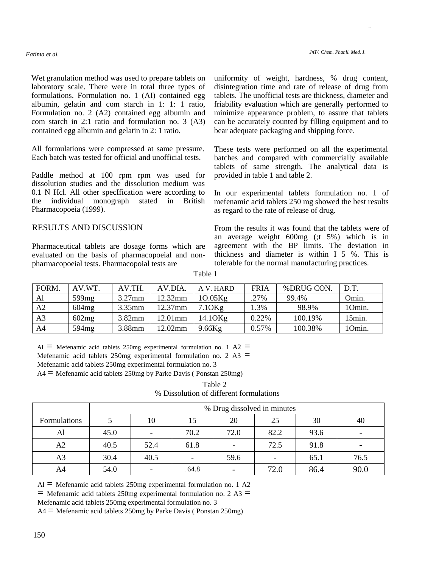#### *Fatima et al.*

...

Wet granulation method was used to prepare tablets on laboratory scale. There were in total three types of formulations. Formulation no. 1 (AI) contained egg albumin, gelatin and com starch in 1: 1: 1 ratio, Formulation no. 2 (A2) contained egg albumin and com starch in 2:1 ratio and formulation no. 3 (A3) contained egg albumin and gelatin in 2: 1 ratio.

All formulations were compressed at same pressure. Each batch was tested for official and unofficial tests.

Paddle method at 100 rpm rpm was used for dissolution studies and the dissolution medium was 0.1 N Hcl. All other specIfication were according to the individual monograph stated in British Pharmacopoeia (1999).

### RESULTS AND DISCUSSION

Pharmaceutical tablets are dosage forms which are evaluated on the basis of pharmacopoeial and nonpharmacopoeial tests. Pharmacopoial tests are

uniformity of weight, hardness, % drug content, disintegration time and rate of release of drug from tablets. The unofficial tests are thickness, diameter and friability evaluation which are generally performed to minimize appearance problem, to assure that tablets can be accurately counted by filling equipment and to bear adequate packaging and shipping force.

These tests were performed on all the experimental batches and compared with commercially available tablets of same strength. The analytical data is provided in table 1 and table 2.

In our experimental tablets formulation no. 1 of mefenamic acid tablets 250 mg showed the best results as regard to the rate of release of drug.

From the results it was found that the tablets were of an average weight 600mg (;t 5%) which is in agreement with the BP limits. The deviation in thickness and diameter is within I 5 %. This is tolerable for the normal manufacturing practices.

| FORM.          | AV.WT.            | AV.TH.    | AV.DIA.    | A V. HARD  | <b>FRIA</b> | %DRUG CON. | D.T.   |
|----------------|-------------------|-----------|------------|------------|-------------|------------|--------|
| Al             | 599 <sub>mg</sub> | $3.27$ mm | 12.32mm    | $10.05$ Kg | .27%        | 99.4%      | Omin.  |
| A2             | 604mg             | $3.35$ mm | 12.37mm    | $7.10$ Kg  | 1.3%        | 98.9%      | 10min. |
| A <sub>3</sub> | 602mg             | $3.82$ mm | $12.01$ mm | 14.10Kg    | 0.22%       | 100.19%    | 15min. |
| A <sub>4</sub> | 594 <sub>mg</sub> | 3.88mm    | 12.02mm    | $9.66$ Kg  | 0.57%       | 100.38%    | 10min. |

Table 1

Al  $\equiv$  Mefenamic acid tablets 250mg experimental formulation no. 1 A2  $\equiv$ 

Mefenamic acid tablets 250mg experimental formulation no. 2 A3  $=$ 

Mefenamic acid tablets 250mg experimental formulation no. 3

 $A4 =$  Mefenamic acid tablets 250mg by Parke Davis (Ponstan 250mg)

| Table 2 |                                         |  |  |  |  |  |  |  |
|---------|-----------------------------------------|--|--|--|--|--|--|--|
|         | % Dissolution of different formulations |  |  |  |  |  |  |  |

|                | % Drug dissolved in minutes |      |      |                          |      |      |      |  |  |
|----------------|-----------------------------|------|------|--------------------------|------|------|------|--|--|
| Formulations   |                             | 10   | 15   | 20                       | 25   | 30   | 40   |  |  |
| Al             | 45.0                        | -    | 70.2 | 72.0                     | 82.2 | 93.6 |      |  |  |
| A2             | 40.5                        | 52.4 | 61.8 | $\overline{\phantom{a}}$ | 72.5 | 91.8 |      |  |  |
| A <sub>3</sub> | 30.4                        | 40.5 |      | 59.6                     |      | 65.1 | 76.5 |  |  |
| A4             | 54.0                        |      | 64.8 |                          | 72.0 | 86.4 | 90.0 |  |  |

 $AI = Metenamic acid tablets 250mg experimental formulation no. 1 A2$ 

 $=$  Mefenamic acid tablets 250mg experimental formulation no. 2 A3  $=$ 

Mefenamic acid tablets 250mg experimental formulation no. 3

 $A4 =$  Mefenamic acid tablets 250mg by Parke Davis (Ponstan 250mg)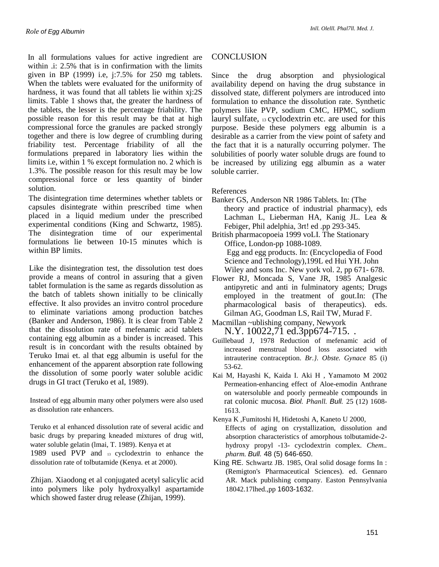In all formulations values for active ingredient are within .i: 2.5% that is in confirmation with the limits given in BP (1999) i.e, j:7.5% for 250 mg tablets. When the tablets were evaluated for the uniformity of hardness, it was found that all tablets lie within xj:2S limits. Table 1 shows that, the greater the hardness of the tablets, the lesser is the percentage friability. The possible reason for this result may be that at high compressional force the granules are packed strongly together and there is low degree of crumbling during friability test. Percentage friability of all the formulations prepared in laboratory lies within the limits i.e, within 1 % except formulation no. 2 which is 1.3%. The possible reason for this result may be low compressional force or less quantity of binder solution.

The disintegration time determines whether tablets or capsules disintegrate within prescribed time when placed in a liquid medium under the prescribed experimental conditions (King and Schwartz, 1985). The disintegration time of our experimental formulations lie between 10-15 minutes which is within BP limits.

Like the disintegration test, the dissolution test does provide a means of control in assuring that a given tablet formulation is the same as regards dissolution as the batch of tablets shown initially to be clinically effective. It also provides an invitro control procedure to eliminate variations among production batches (Banker and Anderson, 1986). It is clear from Table 2 that the dissolution rate of mefenamic acid tablets containing egg albumin as a binder is increased. This result is in concordant with the results obtained by Teruko Imai et. al that egg albumin is useful for the enhancement of the apparent absorption rate following the dissolution of some poorly water soluble acidic drugs in GI tract (Teruko et aI, 1989).

Instead of egg albumin many other polymers were also used as dissolution rate enhancers.

Teruko et al enhanced dissolution rate of several acidic and basic drugs by preparing kneaded mixtures of drug witl, water soluble gelatin (lmai, T. 1989). Kenya et at 1989 used PVP and 13 cyclodextrin to enhance the dissolution rate of tolbutamide (Kenya. et at 2000).

Zhijan. Xiaodong et al conjugated acetyl salicylic acid into polymers like poly hydroxyalkyl aspartamide which showed faster drug release (Zhijan, 1999).

# **CONCLUSION**

Since the drug absorption and physiological availability depend on having the drug substance in dissolved state, different polymers are introduced into formulation to enhance the dissolution rate. Synthetic polymers like PVP, sodium CMC, HPMC, sodium lauryl sulfate, 13 cyclodextrin etc. are used for this purpose. Beside these polymers egg albumin is a desirable as a carrier from the view point of safety and the fact that it is a naturally occurring polymer. The solubilities of poorly water soluble drugs are found to be increased by utilizing egg albumin as a water soluble carrier.

#### References

- Banker GS, Anderson NR 1986 Tablets. In: (The theory and practice of industrial pharmacy), eds Lachman L, Lieberman HA, Kanig JL. Lea & Febiger, Phil adelphia, 3rt! ed .pp 293-345.
- British pharmacopoeia 1999 voLI. The Stationary Office, London-pp 1088-1089. Egg and egg products. In: (Encyclopedia of Food Science and Technology),199L ed Hui YH. John Wiley and sons Inc. New york vol. 2, pp 671- 678.
- Flower RJ, Moncada S, Vane JR, 1985 Analgesic antipyretic and anti in fulminatory agents; Drugs employed in the treatment of gout.In: (The pharmacological basis of therapeutics). eds. Gilman AG, Goodman LS, Rail TW, Murad F.
- Macmillan ~ublishing company, Newyork N.Y. 10022,71 ed.3pp674-715. .
- Guillebaud J, 1978 Reduction of mefenamic acid of increased menstrual blood loss associated with intrauterine contraception. *Br.}. Obste. Gynace* 85 (i) 53-62.
- Kai M, Hayashi K, Kaida I. Aki H , Yamamoto M 2002 Permeation-enhancing effect of Aloe-emodin Anthrane on watersoluble and poorly permeable compounds in rat colonic mucosa. Biol. *Phanll.* Bull. 25 (12) 1608- 1613.
- Kenya K ,Fumitoshi H, Hidetoshi A, Kaneto U 2000, Effects of aging on crystallization, dissolution and absorption characteristics of amorphous tolbutamide-2 hydroxy propyl -13- cyclodextrin complex. *Chem.. pharm.* Bull. 48 (5) 646-650.
- King RE. Schwartz JB. 1985, Oral solid dosage forms In : (Remigton's Pharmaceutical Sciences). ed. Gennaro AR. Mack publishing company. Easton Pennsylvania 18042.17lhed.,pp 1603-1632.